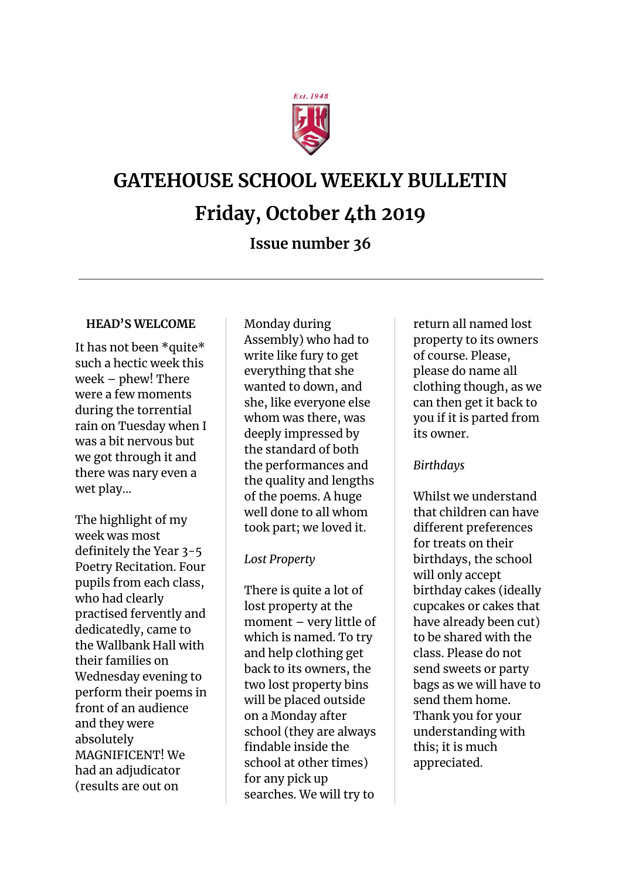

# **GATEHOUSE SCHOOL WEEKLY BULLETIN**

# **Friday, October 4th 2019**

## **Issue number 36**

#### **HEAD'S WELCOME**

It has not been \*quite\* such a hectic week this week – phew! There were a few moments during the torrential rain on Tuesday when I was a bit nervous but we got through it and there was nary even a wet play…

The highlight of my week was most definitely the Year 3-5 Poetry Recitation. Four pupils from each class, who had clearly practised fervently and dedicatedly, came to the Wallbank Hall with their families on Wednesday evening to perform their poems in front of an audience and they were absolutely MAGNIFICENT! We had an adjudicator (results are out on

Monday during Assembly) who had to write like fury to get everything that she wanted to down, and she, like everyone else whom was there, was deeply impressed by the standard of both the performances and the quality and lengths of the poems. A huge well done to all whom took part; we loved it.

#### *Lost Property*

There is quite a lot of lost property at the moment – very little of which is named. To try and help clothing get back to its owners, the two lost property bins will be placed outside on a Monday after school (they are always findable inside the school at other times) for any pick up searches. We will try to

return all named lost property to its owners of course. Please, please do name all clothing though, as we can then get it back to you if it is parted from its owner.

#### *Birthdays*

Whilst we understand that children can have different preferences for treats on their birthdays, the school will only accept birthday cakes (ideally cupcakes or cakes that have already been cut) to be shared with the class. Please do not send sweets or party bags as we will have to send them home. Thank you for your understanding with this; it is much appreciated.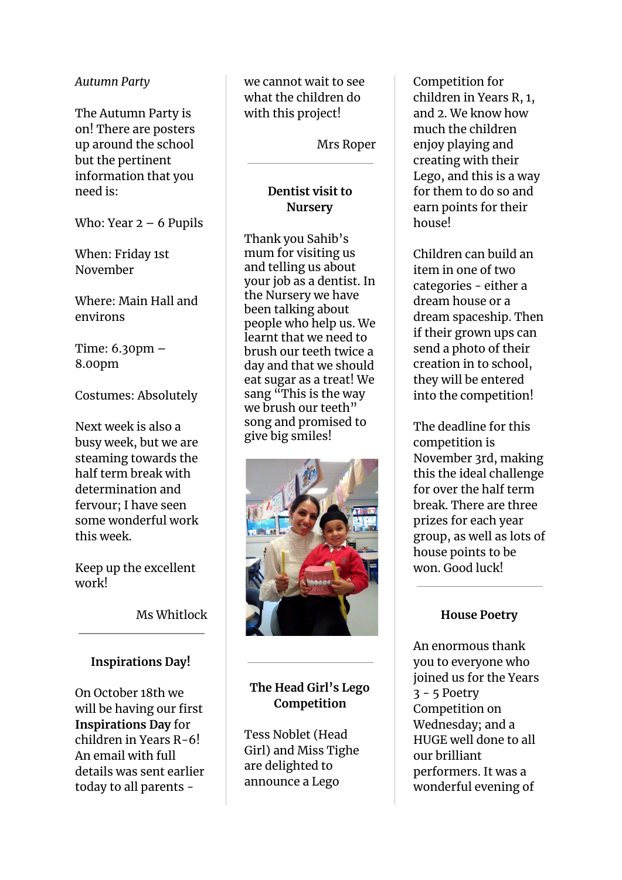#### *Autumn Party*

The Autumn Party is on! There are posters up around the school but the pertinent information that you need is:

Who: Year  $2 - 6$  Pupils

When: Friday 1st November

Where: Main Hall and environs

Time: 6.30pm – 8.00pm

Costumes: Absolutely

Next week is also a busy week, but we are steaming towards the half term break with determination and fervour; I have seen some wonderful work this week.

Keep up the excellent work!

Ms Whitlock

#### **Inspirations Day!**

On October 18th we will be having our first **Inspirations Day** for children in Years R-6! An email with full details was sent earlier today to all parents -

we cannot wait to see what the children do with this project!

Mrs Roper

#### **Dentist visit to Nursery**

Thank you Sahib's mum for visiting us and telling us about your job as a dentist. In the Nursery we have been talking about people who help us. We learnt that we need to brush our teeth twice a day and that we should eat sugar as a treat! We sang "This is the way we brush our teeth" song and promised to give big smiles!



### **The Head Girl's Lego Competition**

Tess Noblet (Head Girl) and Miss Tighe are delighted to announce a Lego

Competition for children in Years R, 1, and 2. We know how much the children enjoy playing and creating with their Lego, and this is a way for them to do so and earn points for their house!

Children can build an item in one of two categories - either a dream house or a dream spaceship. Then if their grown ups can send a photo of their creation in to school, they will be entered into the competition!

The deadline for this competition is November 3rd, making this the ideal challenge for over the half term break. There are three prizes for each year group, as well as lots of house points to be won. Good luck!

#### **House Poetry**

An enormous thank you to everyone who joined us for the Years 3 - 5 Poetry Competition on Wednesday; and a HUGE well done to all our brilliant performers. It was a wonderful evening of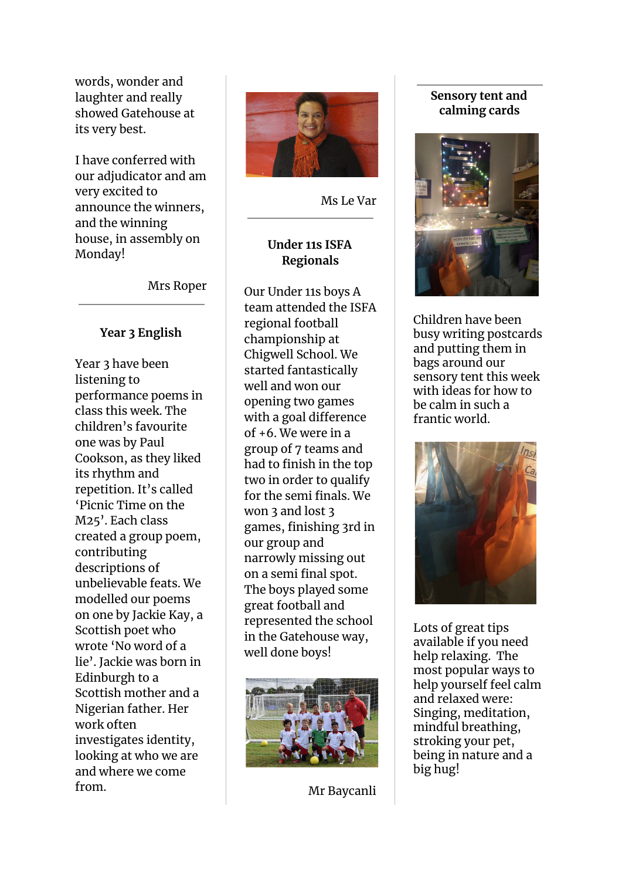words, wonder and laughter and really showed Gatehouse at its very best.

I have conferred with our adjudicator and am very excited to announce the winners, and the winning house, in assembly on Monday!

Mrs Roper

#### **Year 3 English**

Year 3 have been listening to performance poems in class this week. The children's favourite one was by Paul Cookson, as they liked its rhythm and repetition. It's called 'Picnic Time on the M25'. Each class created a group poem, contributing descriptions of unbelievable feats. We modelled our poems on one by Jackie Kay, a Scottish poet who wrote 'No word of a lie'. Jackie was born in Edinburgh to a Scottish mother and a Nigerian father. Her work often investigates identity, looking at who we are and where we come from.



Ms Le Var

#### **Under 11s ISFA Regionals**

Our Under 11s boys A team attended the ISFA regional football championship at Chigwell School. We started fantastically well and won our opening two games with a goal difference of +6. We were in a group of 7 teams and had to finish in the top two in order to qualify for the semi finals. We won 3 and lost 3 games, finishing 3rd in our group and narrowly missing out on a semi final spot. The boys played some great football and represented the school in the Gatehouse way, well done boys!



Mr Baycanli

#### **Sensory tent and calming cards**



Children have been busy writing postcards and putting them in bags around our sensory tent this week with ideas for how to be calm in such a frantic world.



Lots of great tips available if you need help relaxing. The most popular ways to help yourself feel calm and relaxed were: Singing, meditation, mindful breathing, stroking your pet, being in nature and a big hug!